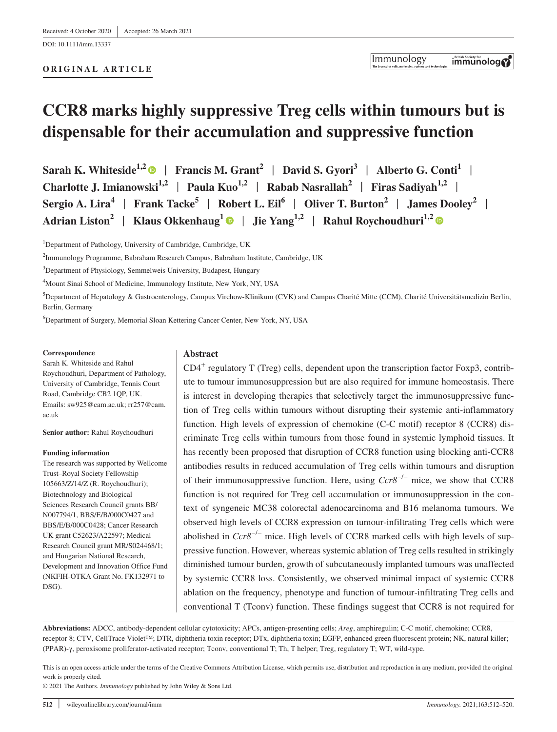DOI: 10.1111/imm.13337

#### **ORIGINAL ARTICLE**

# **CCR8 marks highly suppressive Treg cells within tumours but is dispensable for their accumulation and suppressive function**

**Sarah K. Whiteside1,[2](https://orcid.org/0000-0003-4354-4713)** | **Francis M. Grant<sup>2</sup>** | **David S. Gyori3** | **Alberto G. Conti<sup>1</sup>** | **Charlotte J. Imianowski**<sup>1,2</sup> | Paula Kuo<sup>1,2</sup> | Rabab Nasrallah<sup>2</sup> | Firas Sadiyah<sup>1,2</sup> | **Sergio A. Lira<sup>4</sup>** | **Frank Tacke5** | **Robert L. Eil<sup>6</sup>** | **Oliver T. Burton<sup>2</sup>** | **James Dooley<sup>2</sup>** | Adrian Liston<sup>2</sup> | Klaus Okkenhaug<sup>[1](https://orcid.org/0000-0002-9432-4051)</sup> | Jie Yang<sup>1,2</sup> | Rahul Roychoudhuri<sup>1,2</sup> | ©

<sup>1</sup>Department of Pathology, University of Cambridge, Cambridge, UK

2 Immunology Programme, Babraham Research Campus, Babraham Institute, Cambridge, UK

3 Department of Physiology, Semmelweis University, Budapest, Hungary

4 Mount Sinai School of Medicine, Immunology Institute, New York, NY, USA

5 Department of Hepatology & Gastroenterology, Campus Virchow-Klinikum (CVK) and Campus Charité Mitte (CCM), Charité Universitätsmedizin Berlin, Berlin, Germany

6 Department of Surgery, Memorial Sloan Kettering Cancer Center, New York, NY, USA

#### **Correspondence**

Sarah K. Whiteside and Rahul Roychoudhuri, Department of Pathology, University of Cambridge, Tennis Court Road, Cambridge CB2 1QP, UK. Emails: [sw925@cam.ac.uk;](mailto:sw925@cam.ac.uk) [rr257@cam.](mailto:rr257@cam.ac.uk) [ac.uk](mailto:rr257@cam.ac.uk)

**Senior author:** Rahul Roychoudhuri

#### **Funding information**

The research was supported by Wellcome Trust–Royal Society Fellowship 105663/Z/14/Z (R. Roychoudhuri); Biotechnology and Biological Sciences Research Council grants BB/ N007794/1, BBS/E/B/000C0427 and BBS/E/B/000C0428; Cancer Research UK grant C52623/A22597; Medical Research Council grant MR/S024468/1; and Hungarian National Research, Development and Innovation Office Fund (NKFIH-OTKA Grant No. FK132971 to DSG).

#### **Abstract**

 $CD4^+$  regulatory T (Treg) cells, dependent upon the transcription factor Foxp3, contribute to tumour immunosuppression but are also required for immune homeostasis. There is interest in developing therapies that selectively target the immunosuppressive function of Treg cells within tumours without disrupting their systemic anti-inflammatory function. High levels of expression of chemokine (C-C motif) receptor 8 (CCR8) discriminate Treg cells within tumours from those found in systemic lymphoid tissues. It has recently been proposed that disruption of CCR8 function using blocking anti-CCR8 antibodies results in reduced accumulation of Treg cells within tumours and disruption of their immunosuppressive function. Here, using *Ccr8*−/− mice, we show that CCR8 function is not required for Treg cell accumulation or immunosuppression in the context of syngeneic MC38 colorectal adenocarcinoma and B16 melanoma tumours. We observed high levels of CCR8 expression on tumour-infiltrating Treg cells which were abolished in *Ccr8*−/− mice. High levels of CCR8 marked cells with high levels of suppressive function. However, whereas systemic ablation of Treg cells resulted in strikingly diminished tumour burden, growth of subcutaneously implanted tumours was unaffected by systemic CCR8 loss. Consistently, we observed minimal impact of systemic CCR8 ablation on the frequency, phenotype and function of tumour-infiltrating Treg cells and conventional T (Tconv) function. These findings suggest that CCR8 is not required for

**Abbreviations:** ADCC, antibody-dependent cellular cytotoxicity; APCs, antigen-presenting cells; *Areg*, amphiregulin; C-C motif, chemokine; CCR8, receptor 8; CTV, CellTrace Violet™; DTR, diphtheria toxin receptor; DTx, diphtheria toxin; EGFP, enhanced green fluorescent protein; NK, natural killer; (PPAR)-γ, peroxisome proliferator-activated receptor; Tconv, conventional T; Th, T helper; Treg, regulatory T; WT, wild-type.

This is an open access article under the terms of the [Creative Commons Attribution](http://creativecommons.org/licenses/by/4.0/) License, which permits use, distribution and reproduction in any medium, provided the original work is properly cited.

© 2021 The Authors. *Immunology* published by John Wiley & Sons Ltd.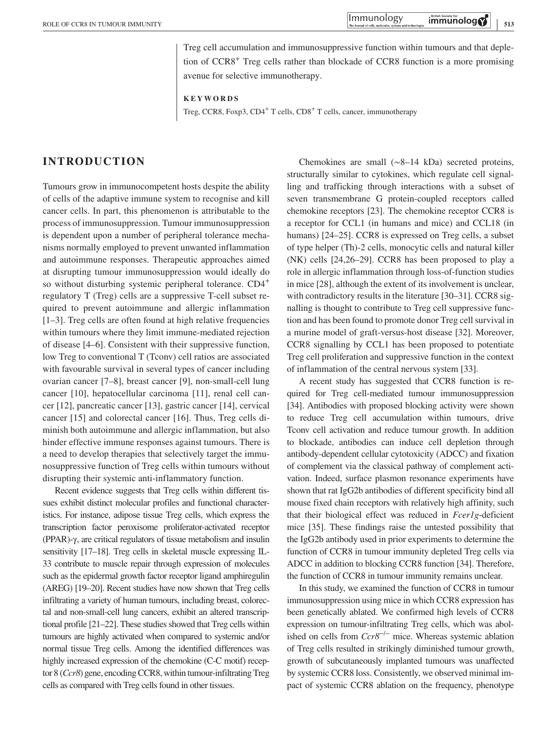Treg cell accumulation and immunosuppressive function within tumours and that depletion of CCR8+ Treg cells rather than blockade of CCR8 function is a more promising avenue for selective immunotherapy.

**KEYWORDS**

Treg, CCR8, Foxp3, CD4<sup>+</sup> T cells, CD8<sup>+</sup> T cells, cancer, immunotherapy

# **INTRODUCTION**

Tumours grow in immunocompetent hosts despite the ability of cells of the adaptive immune system to recognise and kill cancer cells. In part, this phenomenon is attributable to the process of immunosuppression. Tumour immunosuppression is dependent upon a number of peripheral tolerance mechanisms normally employed to prevent unwanted inflammation and autoimmune responses. Therapeutic approaches aimed at disrupting tumour immunosuppression would ideally do so without disturbing systemic peripheral tolerance.  $CD4^+$ regulatory T (Treg) cells are a suppressive T-cell subset required to prevent autoimmune and allergic inflammation [1–3]. Treg cells are often found at high relative frequencies within tumours where they limit immune-mediated rejection of disease [4–6]. Consistent with their suppressive function, low Treg to conventional T (Tconv) cell ratios are associated with favourable survival in several types of cancer including ovarian cancer [7–8], breast cancer [9], non-small-cell lung cancer [10], hepatocellular carcinoma [11], renal cell cancer [12], pancreatic cancer [13], gastric cancer [14], cervical cancer [15] and colorectal cancer [16]. Thus, Treg cells diminish both autoimmune and allergic inflammation, but also hinder effective immune responses against tumours. There is a need to develop therapies that selectively target the immunosuppressive function of Treg cells within tumours without disrupting their systemic anti-inflammatory function.

Recent evidence suggests that Treg cells within different tissues exhibit distinct molecular profiles and functional characteristics. For instance, adipose tissue Treg cells, which express the transcription factor peroxisome proliferator-activated receptor (PPAR)-γ, are critical regulators of tissue metabolism and insulin sensitivity [17–18]. Treg cells in skeletal muscle expressing IL-33 contribute to muscle repair through expression of molecules such as the epidermal growth factor receptor ligand amphiregulin (AREG) [19–20]. Recent studies have now shown that Treg cells infiltrating a variety of human tumours, including breast, colorectal and non-small-cell lung cancers, exhibit an altered transcriptional profile [21–22]. These studies showed that Treg cells within tumours are highly activated when compared to systemic and/or normal tissue Treg cells. Among the identified differences was highly increased expression of the chemokine (C-C motif) receptor 8 (*Ccr8*) gene, encoding CCR8, within tumour-infiltrating Treg cells as compared with Treg cells found in other tissues.

Chemokines are small (∼8–14 kDa) secreted proteins, structurally similar to cytokines, which regulate cell signalling and trafficking through interactions with a subset of seven transmembrane G protein-coupled receptors called chemokine receptors [23]. The chemokine receptor CCR8 is a receptor for CCL1 (in humans and mice) and CCL18 (in humans) [24–25]. CCR8 is expressed on Treg cells, a subset of type helper (Th)-2 cells, monocytic cells and natural killer (NK) cells [24,26–29]. CCR8 has been proposed to play a role in allergic inflammation through loss-of-function studies in mice [28], although the extent of its involvement is unclear, with contradictory results in the literature [30–31]. CCR8 signalling is thought to contribute to Treg cell suppressive function and has been found to promote donor Treg cell survival in a murine model of graft-versus-host disease [32]. Moreover, CCR8 signalling by CCL1 has been proposed to potentiate Treg cell proliferation and suppressive function in the context of inflammation of the central nervous system [33].

A recent study has suggested that CCR8 function is required for Treg cell-mediated tumour immunosuppression [34]. Antibodies with proposed blocking activity were shown to reduce Treg cell accumulation within tumours, drive Tconv cell activation and reduce tumour growth. In addition to blockade, antibodies can induce cell depletion through antibody-dependent cellular cytotoxicity (ADCC) and fixation of complement via the classical pathway of complement activation. Indeed, surface plasmon resonance experiments have shown that rat IgG2b antibodies of different specificity bind all mouse fixed chain receptors with relatively high affinity, such that their biological effect was reduced in *Fcer1g*-deficient mice [35]. These findings raise the untested possibility that the IgG2b antibody used in prior experiments to determine the function of CCR8 in tumour immunity depleted Treg cells via ADCC in addition to blocking CCR8 function [34]. Therefore, the function of CCR8 in tumour immunity remains unclear.

In this study, we examined the function of CCR8 in tumour immunosuppression using mice in which CCR8 expression has been genetically ablated. We confirmed high levels of CCR8 expression on tumour-infiltrating Treg cells, which was abolished on cells from *Ccr8*−/− mice. Whereas systemic ablation of Treg cells resulted in strikingly diminished tumour growth, growth of subcutaneously implanted tumours was unaffected by systemic CCR8 loss. Consistently, we observed minimal impact of systemic CCR8 ablation on the frequency, phenotype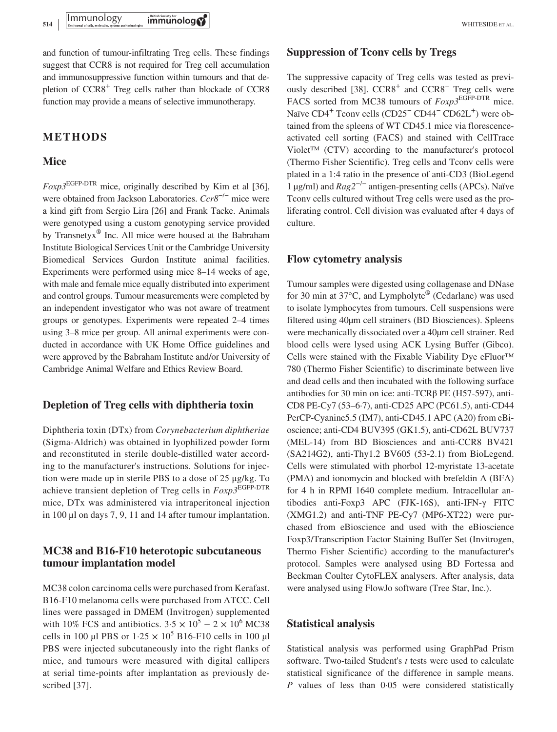and function of tumour-infiltrating Treg cells. These findings suggest that CCR8 is not required for Treg cell accumulation and immunosuppressive function within tumours and that depletion of CCR8+ Treg cells rather than blockade of CCR8 function may provide a means of selective immunotherapy.

# **METHODS**

### **Mice**

*Foxp3*EGFP-DTR mice, originally described by Kim et al [36], were obtained from Jackson Laboratories. *Ccr8*−/− mice were a kind gift from Sergio Lira [26] and Frank Tacke. Animals were genotyped using a custom genotyping service provided by Transnetyx® Inc. All mice were housed at the Babraham Institute Biological Services Unit or the Cambridge University Biomedical Services Gurdon Institute animal facilities. Experiments were performed using mice 8–14 weeks of age, with male and female mice equally distributed into experiment and control groups. Tumour measurements were completed by an independent investigator who was not aware of treatment groups or genotypes. Experiments were repeated 2–4 times using 3–8 mice per group. All animal experiments were conducted in accordance with UK Home Office guidelines and were approved by the Babraham Institute and/or University of Cambridge Animal Welfare and Ethics Review Board.

## **Depletion of Treg cells with diphtheria toxin**

Diphtheria toxin (DTx) from *Corynebacterium diphtheriae* (Sigma-Aldrich) was obtained in lyophilized powder form and reconstituted in sterile double-distilled water according to the manufacturer's instructions. Solutions for injection were made up in sterile PBS to a dose of 25 μg/kg. To achieve transient depletion of Treg cells in *Foxp3*EGFP-DTR mice, DTx was administered via intraperitoneal injection in 100 μl on days 7, 9, 11 and 14 after tumour implantation.

# **MC38 and B16-F10 heterotopic subcutaneous tumour implantation model**

MC38 colon carcinoma cells were purchased from Kerafast. B16-F10 melanoma cells were purchased from ATCC. Cell lines were passaged in DMEM (Invitrogen) supplemented with 10% FCS and antibiotics.  $3.5 \times 10^5 - 2 \times 10^6$  MC38 cells in 100 µl PBS or  $1.25 \times 10^5$  B16-F10 cells in 100 µl PBS were injected subcutaneously into the right flanks of mice, and tumours were measured with digital callipers at serial time-points after implantation as previously described [37].

### **Suppression of Tconv cells by Tregs**

The suppressive capacity of Treg cells was tested as previously described [38].  $CCR8<sup>+</sup>$  and  $CCR8<sup>-</sup>$  Treg cells were FACS sorted from MC38 tumours of  $F\alpha p3^{\text{EGFP-DTR}}$  mice. Naïve CD4<sup>+</sup> Tconv cells (CD25<sup>−</sup> CD44<sup>−</sup> CD62L<sup>+</sup>) were obtained from the spleens of WT CD45.1 mice via florescenceactivated cell sorting (FACS) and stained with CellTrace Violet™ (CTV) according to the manufacturer's protocol (Thermo Fisher Scientific). Treg cells and Tconv cells were plated in a 1:4 ratio in the presence of anti-CD3 (BioLegend 1 µg/ml) and *Rag2*−/− antigen-presenting cells (APCs). Naïve Tconv cells cultured without Treg cells were used as the proliferating control. Cell division was evaluated after 4 days of culture.

### **Flow cytometry analysis**

Tumour samples were digested using collagenase and DNase for 30 min at  $37^{\circ}$ C, and Lympholyte<sup>®</sup> (Cedarlane) was used to isolate lymphocytes from tumours. Cell suspensions were filtered using 40µm cell strainers (BD Biosciences). Spleens were mechanically dissociated over a 40µm cell strainer. Red blood cells were lysed using ACK Lysing Buffer (Gibco). Cells were stained with the Fixable Viability Dye eFluor™ 780 (Thermo Fisher Scientific) to discriminate between live and dead cells and then incubated with the following surface antibodies for 30 min on ice: anti-TCRβ PE (H57-597), anti-CD8 PE-Cy7 (53–6·7), anti-CD25 APC (PC61.5), anti-CD44 PerCP-Cyanine5.5 (IM7), anti-CD45.1 APC (A20) from eBioscience; anti-CD4 BUV395 (GK1.5), anti-CD62L BUV737 (MEL-14) from BD Biosciences and anti-CCR8 BV421 (SA214G2), anti-Thy1.2 BV605 (53-2.1) from BioLegend. Cells were stimulated with phorbol 12-myristate 13-acetate (PMA) and ionomycin and blocked with brefeldin A (BFA) for 4 h in RPMI 1640 complete medium. Intracellular antibodies anti-Foxp3 APC (FJK-16S), anti-IFN-γ FITC (XMG1.2) and anti-TNF PE-Cy7 (MP6-XT22) were purchased from eBioscience and used with the eBioscience Foxp3/Transcription Factor Staining Buffer Set (Invitrogen, Thermo Fisher Scientific) according to the manufacturer's protocol. Samples were analysed using BD Fortessa and Beckman Coulter CytoFLEX analysers. After analysis, data were analysed using FlowJo software (Tree Star, Inc.).

## **Statistical analysis**

Statistical analysis was performed using GraphPad Prism software. Two-tailed Student's *t* tests were used to calculate statistical significance of the difference in sample means. *P* values of less than 0·05 were considered statistically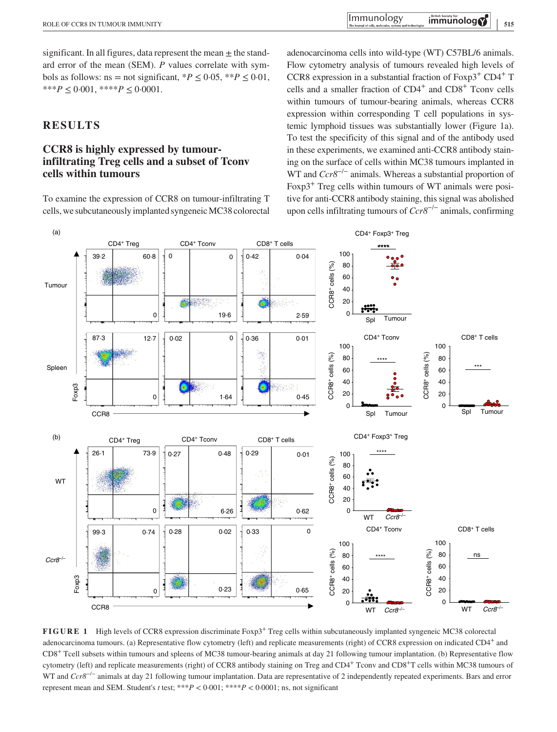significant. In all figures, data represent the mean  $\pm$  the standard error of the mean (SEM). *P* values correlate with symbols as follows: ns = not significant,  $*P < 0.05$ ,  $*P < 0.01$ , \*\*\**P*  $\leq$  0.001, \*\*\*\**P*  $\leq$  0.0001.

# **RESULTS**

# **CCR8 is highly expressed by tumourinfiltrating Treg cells and a subset of Tconv cells within tumours**

To examine the expression of CCR8 on tumour-infiltrating T cells, we subcutaneously implanted syngeneic MC38 colorectal adenocarcinoma cells into wild-type (WT) C57BL/6 animals. Flow cytometry analysis of tumours revealed high levels of CCR8 expression in a substantial fraction of  $Foxp3^+$  CD4<sup>+</sup> T cells and a smaller fraction of CD4<sup>+</sup> and CD8<sup>+</sup> Tconv cells within tumours of tumour-bearing animals, whereas CCR8 expression within corresponding T cell populations in systemic lymphoid tissues was substantially lower (Figure 1a). To test the specificity of this signal and of the antibody used in these experiments, we examined anti-CCR8 antibody staining on the surface of cells within MC38 tumours implanted in WT and *Ccr8*−/− animals. Whereas a substantial proportion of Foxp3<sup>+</sup> Treg cells within tumours of WT animals were positive for anti-CCR8 antibody staining, this signal was abolished upon cells infiltrating tumours of *Ccr8*−/− animals, confirming



**FIGURE 1** High levels of CCR8 expression discriminate Foxp3<sup>+</sup> Treg cells within subcutaneously implanted syngeneic MC38 colorectal adenocarcinoma tumours. (a) Representative flow cytometry (left) and replicate measurements (right) of CCR8 expression on indicated CD4<sup>+</sup> and CD8+ Tcell subsets within tumours and spleens of MC38 tumour-bearing animals at day 21 following tumour implantation. (b) Representative flow cytometry (left) and replicate measurements (right) of CCR8 antibody staining on Treg and CD4+ Tconv and CD8+T cells within MC38 tumours of WT and *Ccr8*−/− animals at day 21 following tumour implantation. Data are representative of 2 independently repeated experiments. Bars and error represent mean and SEM. Student's *t* test; \*\*\* $P < 0.001$ ; \*\*\* $P < 0.0001$ ; ns, not significant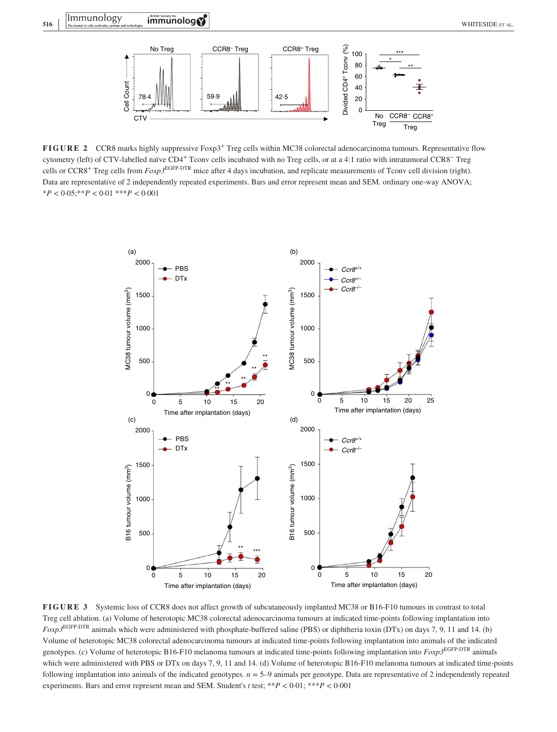

**FIGURE 2** CCR8 marks highly suppressive Foxp3<sup>+</sup> Treg cells within MC38 colorectal adenocarcinoma tumours. Representative flow cytometry (left) of CTV-labelled naïve CD4+ Tconv cells incubated with no Treg cells, or at a 4:1 ratio with intratumoral CCR8− Treg cells or CCR8+ Treg cells from *Foxp3*EGFP-DTR mice after 4 days incubation, and replicate measurements of Tconv cell division (right). Data are representative of 2 independently repeated experiments. Bars and error represent mean and SEM. ordinary one-way ANOVA; \**P* < 0·05;\*\**P* < 0·01 \*\*\**P* < 0·001



**FIGURE 3** Systemic loss of CCR8 does not affect growth of subcutaneously implanted MC38 or B16-F10 tumours in contrast to total Treg cell ablation. (a) Volume of heterotopic MC38 colorectal adenocarcinoma tumours at indicated time-points following implantation into *Foxp3*EGFP-DTR animals which were administered with phosphate-buffered saline (PBS) or diphtheria toxin (DTx) on days 7, 9, 11 and 14. (b) Volume of heterotopic MC38 colorectal adenocarcinoma tumours at indicated time-points following implantation into animals of the indicated genotypes. (c) Volume of heterotopic B16-F10 melanoma tumours at indicated time-points following implantation into *Foxp3*EGFP-DTR animals which were administered with PBS or DTx on days 7, 9, 11 and 14. (d) Volume of heterotopic B16-F10 melanoma tumours at indicated time-points following implantation into animals of the indicated genotypes. *n* = 5–9 animals per genotype. Data are representative of 2 independently repeated experiments. Bars and error represent mean and SEM. Student's *t* test; \*\**P* < 0·01; \*\*\**P* < 0·001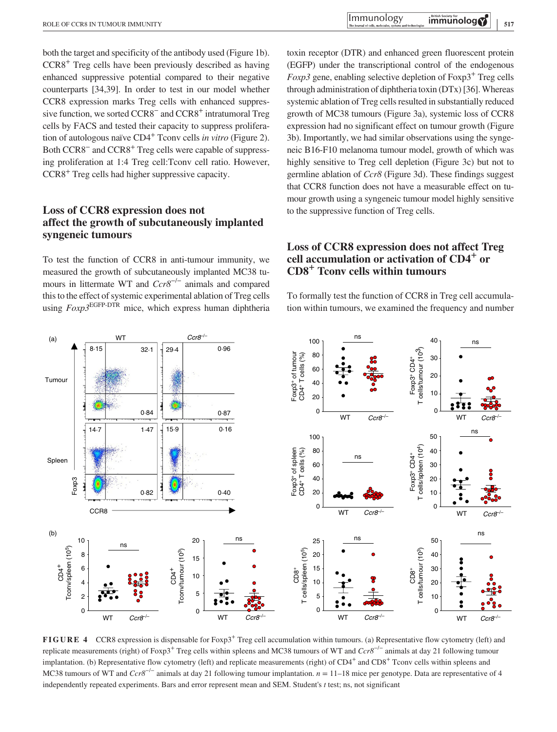both the target and specificity of the antibody used (Figure 1b). CCR8+ Treg cells have been previously described as having enhanced suppressive potential compared to their negative counterparts [34,39]. In order to test in our model whether CCR8 expression marks Treg cells with enhanced suppressive function, we sorted CCR8<sup>−</sup> and CCR8<sup>+</sup> intratumoral Treg cells by FACS and tested their capacity to suppress proliferation of autologous naïve CD4+ Tconv cells *in vitro* (Figure 2). Both CCR8− and CCR8+ Treg cells were capable of suppressing proliferation at 1:4 Treg cell:Tconv cell ratio. However, CCR8+ Treg cells had higher suppressive capacity.

# **Loss of CCR8 expression does not affect the growth of subcutaneously implanted syngeneic tumours**

To test the function of CCR8 in anti-tumour immunity, we measured the growth of subcutaneously implanted MC38 tumours in littermate WT and *Ccr8<sup>−/−</sup>* animals and compared this to the effect of systemic experimental ablation of Treg cells using *Foxp3*EGFP-DTR mice, which express human diphtheria toxin receptor (DTR) and enhanced green fluorescent protein (EGFP) under the transcriptional control of the endogenous *Foxp3* gene, enabling selective depletion of  $F\alpha p3^+$  Treg cells through administration of diphtheria toxin (DTx) [36]. Whereas systemic ablation of Treg cells resulted in substantially reduced growth of MC38 tumours (Figure 3a), systemic loss of CCR8 expression had no significant effect on tumour growth (Figure 3b). Importantly, we had similar observations using the syngeneic B16-F10 melanoma tumour model, growth of which was highly sensitive to Treg cell depletion (Figure 3c) but not to germline ablation of *Ccr8* (Figure 3d). These findings suggest that CCR8 function does not have a measurable effect on tumour growth using a syngeneic tumour model highly sensitive to the suppressive function of Treg cells.

# **Loss of CCR8 expression does not affect Treg cell accumulation or activation of CD4+ or CD8+ Tconv cells within tumours**

To formally test the function of CCR8 in Treg cell accumulation within tumours, we examined the frequency and number



**FIGURE 4** CCR8 expression is dispensable for Foxp3<sup>+</sup> Treg cell accumulation within tumours. (a) Representative flow cytometry (left) and replicate measurements (right) of Foxp3+ Treg cells within spleens and MC38 tumours of WT and *Ccr8*−/− animals at day 21 following tumour implantation. (b) Representative flow cytometry (left) and replicate measurements (right) of CD4<sup>+</sup> and CD8<sup>+</sup> Tconv cells within spleens and MC38 tumours of WT and *Ccr8*−/− animals at day 21 following tumour implantation. *n* = 11–18 mice per genotype. Data are representative of 4 independently repeated experiments. Bars and error represent mean and SEM. Student's *t* test; ns, not significant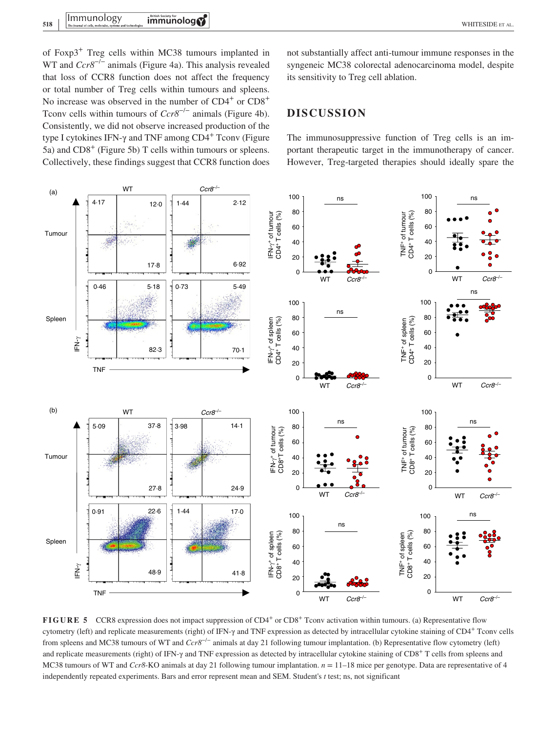of Foxp3+ Treg cells within MC38 tumours implanted in WT and *Ccr8*−/− animals (Figure 4a). This analysis revealed that loss of CCR8 function does not affect the frequency or total number of Treg cells within tumours and spleens. No increase was observed in the number of  $CD4^+$  or  $CD8^+$ Tcony cells within tumours of *Ccr8<sup>−/−</sup>* animals (Figure 4b). Consistently, we did not observe increased production of the type I cytokines IFN-γ and TNF among CD4<sup>+</sup> Tconv (Figure 5a) and  $CD8<sup>+</sup>$  (Figure 5b) T cells within tumours or spleens. Collectively, these findings suggest that CCR8 function does not substantially affect anti-tumour immune responses in the syngeneic MC38 colorectal adenocarcinoma model, despite its sensitivity to Treg cell ablation.

# **DISCUSSION**

The immunosuppressive function of Treg cells is an important therapeutic target in the immunotherapy of cancer. However, Treg-targeted therapies should ideally spare the



**FIGURE 5** CCR8 expression does not impact suppression of CD4<sup>+</sup> or CD8<sup>+</sup> Tconv activation within tumours. (a) Representative flow cytometry (left) and replicate measurements (right) of IFN-γ and TNF expression as detected by intracellular cytokine staining of CD4+ Tconv cells from spleens and MC38 tumours of WT and *Ccr8*−/− animals at day 21 following tumour implantation. (b) Representative flow cytometry (left) and replicate measurements (right) of IFN- $\gamma$  and TNF expression as detected by intracellular cytokine staining of CD8<sup>+</sup> T cells from spleens and MC38 tumours of WT and *Ccr8*-KO animals at day 21 following tumour implantation. *n* = 11–18 mice per genotype. Data are representative of 4 independently repeated experiments. Bars and error represent mean and SEM. Student's *t* test; ns, not significant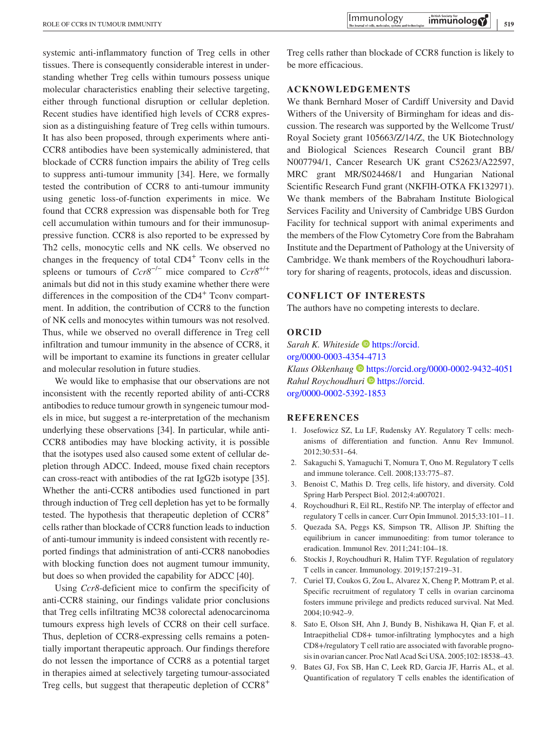systemic anti-inflammatory function of Treg cells in other tissues. There is consequently considerable interest in understanding whether Treg cells within tumours possess unique molecular characteristics enabling their selective targeting, either through functional disruption or cellular depletion. Recent studies have identified high levels of CCR8 expression as a distinguishing feature of Treg cells within tumours. It has also been proposed, through experiments where anti-CCR8 antibodies have been systemically administered, that blockade of CCR8 function impairs the ability of Treg cells to suppress anti-tumour immunity [34]. Here, we formally tested the contribution of CCR8 to anti-tumour immunity using genetic loss-of-function experiments in mice. We found that CCR8 expression was dispensable both for Treg cell accumulation within tumours and for their immunosuppressive function. CCR8 is also reported to be expressed by Th2 cells, monocytic cells and NK cells. We observed no changes in the frequency of total  $CD4<sup>+</sup>$  Tconv cells in the spleens or tumours of *Ccr8*−/− mice compared to *Ccr8*+/+ animals but did not in this study examine whether there were differences in the composition of the  $CD4<sup>+</sup>$  Tconv compartment. In addition, the contribution of CCR8 to the function of NK cells and monocytes within tumours was not resolved. Thus, while we observed no overall difference in Treg cell infiltration and tumour immunity in the absence of CCR8, it will be important to examine its functions in greater cellular and molecular resolution in future studies.

We would like to emphasise that our observations are not inconsistent with the recently reported ability of anti-CCR8 antibodies to reduce tumour growth in syngeneic tumour models in mice, but suggest a re-interpretation of the mechanism underlying these observations [34]. In particular, while anti-CCR8 antibodies may have blocking activity, it is possible that the isotypes used also caused some extent of cellular depletion through ADCC. Indeed, mouse fixed chain receptors can cross-react with antibodies of the rat IgG2b isotype [35]. Whether the anti-CCR8 antibodies used functioned in part through induction of Treg cell depletion has yet to be formally tested. The hypothesis that therapeutic depletion of CCR8+ cells rather than blockade of CCR8 function leads to induction of anti-tumour immunity is indeed consistent with recently reported findings that administration of anti-CCR8 nanobodies with blocking function does not augment tumour immunity, but does so when provided the capability for ADCC [40].

Using *Ccr8*-deficient mice to confirm the specificity of anti-CCR8 staining, our findings validate prior conclusions that Treg cells infiltrating MC38 colorectal adenocarcinoma tumours express high levels of CCR8 on their cell surface. Thus, depletion of CCR8-expressing cells remains a potentially important therapeutic approach. Our findings therefore do not lessen the importance of CCR8 as a potential target in therapies aimed at selectively targeting tumour-associated Treg cells, but suggest that therapeutic depletion of  $CCR8<sup>+</sup>$ 

Treg cells rather than blockade of CCR8 function is likely to be more efficacious.

# **ACKNOWLEDGEMENTS**

We thank Bernhard Moser of Cardiff University and David Withers of the University of Birmingham for ideas and discussion. The research was supported by the Wellcome Trust/ Royal Society grant 105663/Z/14/Z, the UK Biotechnology and Biological Sciences Research Council grant BB/ N007794/1, Cancer Research UK grant C52623/A22597, MRC grant MR/S024468/1 and Hungarian National Scientific Research Fund grant (NKFIH-OTKA FK132971). We thank members of the Babraham Institute Biological Services Facility and University of Cambridge UBS Gurdon Facility for technical support with animal experiments and the members of the Flow Cytometry Core from the Babraham Institute and the Department of Pathology at the University of Cambridge. We thank members of the Roychoudhuri laboratory for sharing of reagents, protocols, ideas and discussion.

#### **CONFLICT OF INTERESTS**

The authors have no competing interests to declare.

#### **ORCID**

*Sarah K. Whiteside* [https://orcid.](https://orcid.org/0000-0003-4354-4713) [org/0000-0003-4354-4713](https://orcid.org/0000-0003-4354-4713) *Klaus Okkenhaug* <https://orcid.org/0000-0002-9432-4051> *Rahul Roychoudhuri* [https://orcid.](https://orcid.org/0000-0002-5392-1853) [org/0000-0002-5392-1853](https://orcid.org/0000-0002-5392-1853)

#### **REFERENCES**

- 1. Josefowicz SZ, Lu LF, Rudensky AY. Regulatory T cells: mechanisms of differentiation and function. Annu Rev Immunol. 2012;30:531–64.
- 2. Sakaguchi S, Yamaguchi T, Nomura T, Ono M. Regulatory T cells and immune tolerance. Cell. 2008;133:775–87.
- 3. Benoist C, Mathis D. Treg cells, life history, and diversity. Cold Spring Harb Perspect Biol. 2012;4:a007021.
- 4. Roychoudhuri R, Eil RL, Restifo NP. The interplay of effector and regulatory T cells in cancer. Curr Opin Immunol. 2015;33:101–11.
- 5. Quezada SA, Peggs KS, Simpson TR, Allison JP. Shifting the equilibrium in cancer immunoediting: from tumor tolerance to eradication. Immunol Rev. 2011;241:104–18.
- 6. Stockis J, Roychoudhuri R, Halim TYF. Regulation of regulatory T cells in cancer. Immunology. 2019;157:219–31.
- 7. Curiel TJ, Coukos G, Zou L, Alvarez X, Cheng P, Mottram P, et al. Specific recruitment of regulatory T cells in ovarian carcinoma fosters immune privilege and predicts reduced survival. Nat Med. 2004;10:942–9.
- 8. Sato E, Olson SH, Ahn J, Bundy B, Nishikawa H, Qian F, et al. Intraepithelial CD8+ tumor-infiltrating lymphocytes and a high CD8+/regulatory T cell ratio are associated with favorable prognosis in ovarian cancer. Proc Natl Acad Sci USA. 2005;102:18538–43.
- 9. Bates GJ, Fox SB, Han C, Leek RD, Garcia JF, Harris AL, et al. Quantification of regulatory T cells enables the identification of